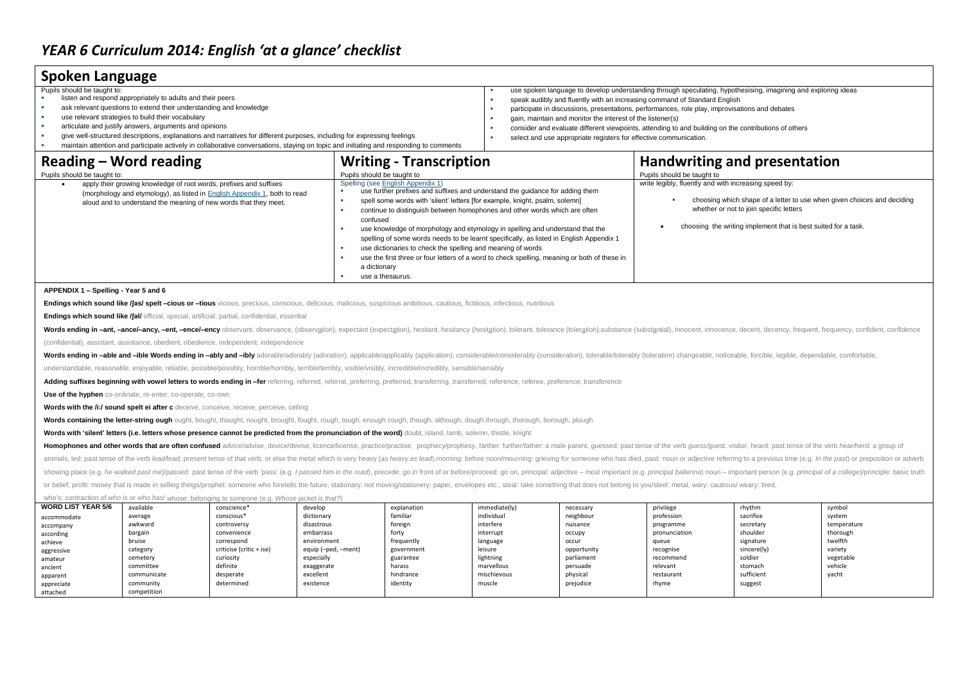## **Spoken Language**

| <b>UNUNCH LUISUUSL</b>      |                                                                                                                                        |  |                                                                                                                |  |  |  |  |
|-----------------------------|----------------------------------------------------------------------------------------------------------------------------------------|--|----------------------------------------------------------------------------------------------------------------|--|--|--|--|
| Pupils should be taught to: |                                                                                                                                        |  | use spoken language to develop understanding through speculating, hypothesising, imagining and exploring ideas |  |  |  |  |
|                             | listen and respond appropriately to adults and their peers                                                                             |  | speak audibly and fluently with an increasing command of Standard English                                      |  |  |  |  |
|                             | ask relevant questions to extend their understanding and knowledge                                                                     |  | participate in discussions, presentations, performances, role play, improvisations and debates                 |  |  |  |  |
|                             | use relevant strategies to build their vocabulary                                                                                      |  | gain, maintain and monitor the interest of the listener(s)                                                     |  |  |  |  |
|                             | articulate and justify answers, arguments and opinions                                                                                 |  | consider and evaluate different viewpoints, attending to and building on the contributions of others           |  |  |  |  |
|                             | give well-structured descriptions, explanations and narratives for different purposes, including for expressing feelings               |  | select and use appropriate registers for effective communication.                                              |  |  |  |  |
|                             | maintain attention and participate actively in collaborative conversations, staying on topic and initiating and responding to comments |  |                                                                                                                |  |  |  |  |

| Reading – Word reading                                                                                                                                                                                                      | <b>Writing - Transcription</b>                                                                                                                                                                                                                                                                                                                                                                                                                                                                                                                                                                                                                                             | <b>Handwriting and presentation</b>                                                                                                                                                                                                           |  |  |  |
|-----------------------------------------------------------------------------------------------------------------------------------------------------------------------------------------------------------------------------|----------------------------------------------------------------------------------------------------------------------------------------------------------------------------------------------------------------------------------------------------------------------------------------------------------------------------------------------------------------------------------------------------------------------------------------------------------------------------------------------------------------------------------------------------------------------------------------------------------------------------------------------------------------------------|-----------------------------------------------------------------------------------------------------------------------------------------------------------------------------------------------------------------------------------------------|--|--|--|
| Pupils should be taught to:                                                                                                                                                                                                 | Pupils should be taught to                                                                                                                                                                                                                                                                                                                                                                                                                                                                                                                                                                                                                                                 | Pupils should be taught to                                                                                                                                                                                                                    |  |  |  |
| apply their growing knowledge of root words, prefixes and suffixes<br>(morphology and etymology), as listed in <b>English Appendix 1</b> , both to read<br>aloud and to understand the meaning of new words that they meet. | Spelling (see English Appendix 1)<br>use further prefixes and suffixes and understand the quidance for adding them<br>spell some words with 'silent' letters [for example, knight, psalm, solemn]<br>continue to distinguish between homophones and other words which are often<br>confused<br>use knowledge of morphology and etymology in spelling and understand that the<br>spelling of some words needs to be learnt specifically, as listed in English Appendix 1<br>use dictionaries to check the spelling and meaning of words<br>use the first three or four letters of a word to check spelling, meaning or both of these in<br>a dictionary<br>use a thesaurus. | write legibly, fluently and with increasing speed by:<br>choosing which shape of a letter to use when given choices and deciding<br>whether or not to join specific letters<br>choosing the writing implement that is best suited for a task. |  |  |  |

## **APPENDIX 1 – Spelling - Year 5 and 6**

**Endings which sound like /ʃəs/ spelt –cious or –tious** vicious, precious, conscious, delicious, malicious, suspicious ambitious, cautious, fictitious, infectious, nutritious

**Endings which sound like /ʃəl/** official, special, artificial, partial, confidential, essential

Words ending in -ant, -ance/-ancy, -ent, -ence/-ency observant, observance, (observation), expectant (expectation), hesitant, hesitancy (hesitation), tolerant, tolerance (toleration), substance (substantial), substance (su

(confidential), assistant, assistance, obedient, obedience, independent, independence

Words ending in -able and -ible Words ending in -ably and -ibly adorable/adorably (adoration), applicable/applicably (application), considerable/considerably (consideration), tolerable/tolerably (toleration) changeable, no

understandable, reasonable, enjoyable, reliable, possible/possibly, horrible/horribly, terrible/terribly, visible/visibly, incredible/incredibly, sensible/sensibly

Adding suffixes beginning with vowel letters to words ending in -fer referring, referred, referral, preferring, preferred, transferring, transferred, reference, reference, referee, preference, transference

**Use of the hyphen** co-ordinate, re-enter, co-operate, co-own

**Words with the /i:/ sound spelt ei after c** deceive, conceive, receive, perceive, ceiling

Words containing the letter-string ough ought, bought, thought, nought, brought, fough, tough, enough cough, though, although, dough through, thorough, borough, plough

**Words with 'silent' letters (i.e. letters whose presence cannot be predicted from the pronunciation of the word)** doubt, island, lamb, solemn, thistle, knight

Homophones and other words that are often confused advice/advise, device/devise, licence/license, practice/practise, prophecy/prophesy, farther: further/father: a male parent, quessed: past tense of the verb quess/quest: v

animals, led: past tense of the verb lead/ead: present tense of that verb, or else the metal which is very heavy (as heavy as lead), morning: before noon/mourning: grieving for someone who has died, past: noun or adjective showing place (e.g. he walked past me)/passed: past tense of the verb 'pass' (e.g. I passed him in the road), precede: go in front of or before/proceed: go on, principal: adjective - most important (e.g. principal ballerin or belief, profit: money that is made in selling things/prophet: someone who foretells the future, stationary: not moving/stationery: paper, envelopes etc., steal: take something that does not belong to you/steel: metal, w

who's: contraction of *who is* or *who has/* whose: belonging to someone (e.g. *Whose jacket is that?*)

| 1111000, DUIUININ W 0011100110 10.0, 117000 MUNULIO 87067 |             |                          |                     |             |               |             |               |             |             |
|-----------------------------------------------------------|-------------|--------------------------|---------------------|-------------|---------------|-------------|---------------|-------------|-------------|
| <b>WORD LIST YEAR 5/6</b>                                 | available   | conscience*              | develop             | explanation | immediate(ly) | necessary   | privilege     | rhythm      | symbol      |
| accommodate                                               | average     | conscious*               | dictionary          | familiar    | individual    | neighbour   | profession    | sacrifice   | system      |
| accompany                                                 | awkward     | controversy              | disastrous          | foreign     | interfere     | nuisance    | programme     | secretary   | temperature |
| according                                                 | bargain     | convenience              | embarrass           | forty       | interrupt     | occupy      | pronunciation | shoulder    | thorough    |
| achieve                                                   | bruise      | correspond               | environment         | frequently  | language      | occur       | queue         | signature   | twelfth     |
| aggressive                                                | category    | criticise (critic + ise) | equip (-ped, -ment) | government  | leisure       | opportunity | recognise     | sincere(ly) | variety     |
| amateur                                                   | cemetery    | curiosity                | especially          | guarantee   | lightning     | parliament  | recommend     | soldier     | vegetable   |
| ancient                                                   | committee   | definite                 | exaggerate          | harass      | marvellous    | persuade    | relevant      | stomach     | vehicle     |
| apparent                                                  | communicate | desperate                | excellent           | hindrance   | mischievous   | physical    | restaurant    | sufficient  | yacht       |
| appreciate                                                | community   | determined               | existence           | identity    | muscle        | prejudice   | rhyme         | suggest     |             |
| attached                                                  | competition |                          |                     |             |               |             |               |             |             |